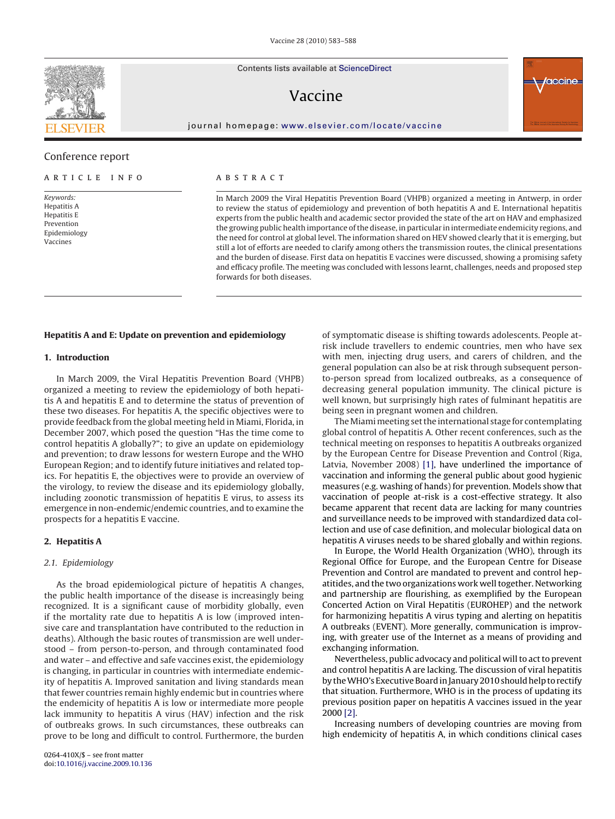Contents lists available at [ScienceDirect](http://www.sciencedirect.com/science/journal/0264410X)

# Vaccine

journal homepage: [www.elsevier.com/locate/vaccine](http://www.elsevier.com/locate/vaccine)



# Conference report

## article info

Keywords: Hepatitis A Hepatitis E Prevention Epidemiology Vaccines

## **ABSTRACT**

In March 2009 the Viral Hepatitis Prevention Board (VHPB) organized a meeting in Antwerp, in order to review the status of epidemiology and prevention of both hepatitis A and E. International hepatitis experts from the public health and academic sector provided the state of the art on HAV and emphasized the growing public health importance of the disease, in particular in intermediate endemicity regions, and the need for control at global level. The information shared on HEV showed clearly that it is emerging, but still a lot of efforts are needed to clarify among others the transmission routes, the clinical presentations and the burden of disease. First data on hepatitis E vaccines were discussed, showing a promising safety and efficacy profile. The meeting was concluded with lessons learnt, challenges, needs and proposed step forwards for both diseases.

## **Hepatitis A and E: Update on prevention and epidemiology**

## **1. Introduction**

In March 2009, the Viral Hepatitis Prevention Board (VHPB) organized a meeting to review the epidemiology of both hepatitis A and hepatitis E and to determine the status of prevention of these two diseases. For hepatitis A, the specific objectives were to provide feedback from the global meeting held in Miami, Florida, in December 2007, which posed the question "Has the time come to control hepatitis A globally?"; to give an update on epidemiology and prevention; to draw lessons for western Europe and the WHO European Region; and to identify future initiatives and related topics. For hepatitis E, the objectives were to provide an overview of the virology, to review the disease and its epidemiology globally, including zoonotic transmission of hepatitis E virus, to assess its emergence in non-endemic/endemic countries, and to examine the prospects for a hepatitis E vaccine.

## **2. Hepatitis A**

## 2.1. Epidemiology

As the broad epidemiological picture of hepatitis A changes, the public health importance of the disease is increasingly being recognized. It is a significant cause of morbidity globally, even if the mortality rate due to hepatitis A is low (improved intensive care and transplantation have contributed to the reduction in deaths). Although the basic routes of transmission are well understood – from person-to-person, and through contaminated food and water – and effective and safe vaccines exist, the epidemiology is changing, in particular in countries with intermediate endemicity of hepatitis A. Improved sanitation and living standards mean that fewer countries remain highly endemic but in countries where the endemicity of hepatitis A is low or intermediate more people lack immunity to hepatitis A virus (HAV) infection and the risk of outbreaks grows. In such circumstances, these outbreaks can prove to be long and difficult to control. Furthermore, the burden of symptomatic disease is shifting towards adolescents. People atrisk include travellers to endemic countries, men who have sex with men, injecting drug users, and carers of children, and the general population can also be at risk through subsequent personto-person spread from localized outbreaks, as a consequence of decreasing general population immunity. The clinical picture is well known, but surprisingly high rates of fulminant hepatitis are being seen in pregnant women and children.

The Miami meeting set the international stage for contemplating global control of hepatitis A. Other recent conferences, such as the technical meeting on responses to hepatitis A outbreaks organized by the European Centre for Disease Prevention and Control (Riga, Latvia, November 2008) [\[1\],](#page-5-0) have underlined the importance of vaccination and informing the general public about good hygienic measures (e.g. washing of hands) for prevention. Models show that vaccination of people at-risk is a cost-effective strategy. It also became apparent that recent data are lacking for many countries and surveillance needs to be improved with standardized data collection and use of case definition, and molecular biological data on hepatitis A viruses needs to be shared globally and within regions.

In Europe, the World Health Organization (WHO), through its Regional Office for Europe, and the European Centre for Disease Prevention and Control are mandated to prevent and control hepatitides, and the two organizations work well together. Networking and partnership are flourishing, as exemplified by the European Concerted Action on Viral Hepatitis (EUROHEP) and the network for harmonizing hepatitis A virus typing and alerting on hepatitis A outbreaks (EVENT). More generally, communication is improving, with greater use of the Internet as a means of providing and exchanging information.

Nevertheless, public advocacy and political will to act to prevent and control hepatitis A are lacking. The discussion of viral hepatitis by theWHO's Executive Board in January 2010 should help to rectify that situation. Furthermore, WHO is in the process of updating its previous position paper on hepatitis A vaccines issued in the year 2000 [\[2\].](#page-5-0)

Increasing numbers of developing countries are moving from high endemicity of hepatitis A, in which conditions clinical cases

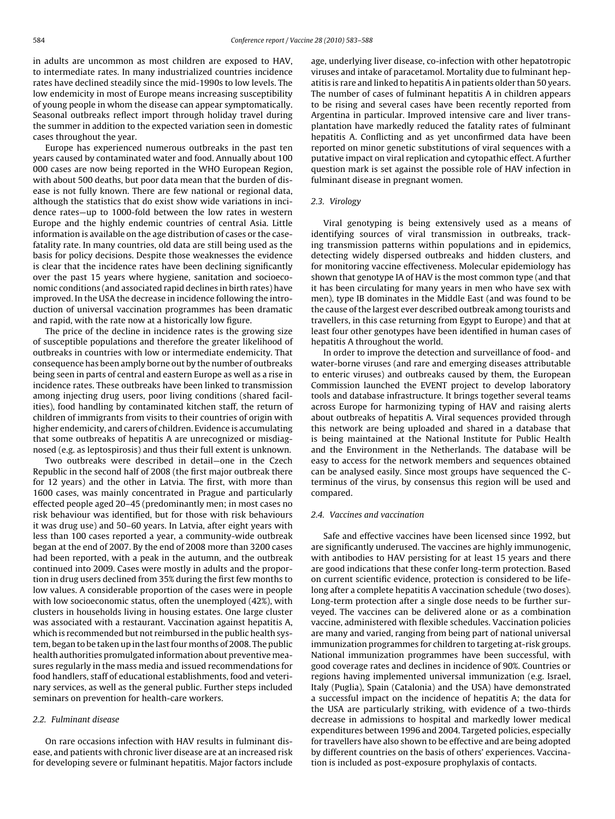in adults are uncommon as most children are exposed to HAV, to intermediate rates. In many industrialized countries incidence rates have declined steadily since the mid-1990s to low levels. The low endemicity in most of Europe means increasing susceptibility of young people in whom the disease can appear symptomatically. Seasonal outbreaks reflect import through holiday travel during the summer in addition to the expected variation seen in domestic cases throughout the year.

Europe has experienced numerous outbreaks in the past ten years caused by contaminated water and food. Annually about 100 000 cases are now being reported in the WHO European Region, with about 500 deaths, but poor data mean that the burden of disease is not fully known. There are few national or regional data, although the statistics that do exist show wide variations in incidence rates—up to 1000-fold between the low rates in western Europe and the highly endemic countries of central Asia. Little information is available on the age distribution of cases or the casefatality rate. In many countries, old data are still being used as the basis for policy decisions. Despite those weaknesses the evidence is clear that the incidence rates have been declining significantly over the past 15 years where hygiene, sanitation and socioeconomic conditions (and associated rapid declines in birth rates) have improved. In the USA the decrease in incidence following the introduction of universal vaccination programmes has been dramatic and rapid, with the rate now at a historically low figure.

The price of the decline in incidence rates is the growing size of susceptible populations and therefore the greater likelihood of outbreaks in countries with low or intermediate endemicity. That consequence has been amply borne out by the number of outbreaks being seen in parts of central and eastern Europe as well as a rise in incidence rates. These outbreaks have been linked to transmission among injecting drug users, poor living conditions (shared facilities), food handling by contaminated kitchen staff, the return of children of immigrants from visits to their countries of origin with higher endemicity, and carers of children. Evidence is accumulating that some outbreaks of hepatitis A are unrecognized or misdiagnosed (e.g. as leptospirosis) and thus their full extent is unknown.

Two outbreaks were described in detail—one in the Czech Republic in the second half of 2008 (the first major outbreak there for 12 years) and the other in Latvia. The first, with more than 1600 cases, was mainly concentrated in Prague and particularly effected people aged 20–45 (predominantly men; in most cases no risk behaviour was identified, but for those with risk behaviours it was drug use) and 50–60 years. In Latvia, after eight years with less than 100 cases reported a year, a community-wide outbreak began at the end of 2007. By the end of 2008 more than 3200 cases had been reported, with a peak in the autumn, and the outbreak continued into 2009. Cases were mostly in adults and the proportion in drug users declined from 35% during the first few months to low values. A considerable proportion of the cases were in people with low socioeconomic status, often the unemployed (42%), with clusters in households living in housing estates. One large cluster was associated with a restaurant. Vaccination against hepatitis A, which is recommended but not reimbursed in the public health system, began to be taken up in the last four months of 2008. The public health authorities promulgated information about preventive measures regularly in the mass media and issued recommendations for food handlers, staff of educational establishments, food and veterinary services, as well as the general public. Further steps included seminars on prevention for health-care workers.

## 2.2. Fulminant disease

On rare occasions infection with HAV results in fulminant disease, and patients with chronic liver disease are at an increased risk for developing severe or fulminant hepatitis. Major factors include age, underlying liver disease, co-infection with other hepatotropic viruses and intake of paracetamol. Mortality due to fulminant hepatitis is rare and linked to hepatitis A in patients older than 50 years. The number of cases of fulminant hepatitis A in children appears to be rising and several cases have been recently reported from Argentina in particular. Improved intensive care and liver transplantation have markedly reduced the fatality rates of fulminant hepatitis A. Conflicting and as yet unconfirmed data have been reported on minor genetic substitutions of viral sequences with a putative impact on viral replication and cytopathic effect. A further question mark is set against the possible role of HAV infection in fulminant disease in pregnant women.

#### 2.3. Virology

Viral genotyping is being extensively used as a means of identifying sources of viral transmission in outbreaks, tracking transmission patterns within populations and in epidemics, detecting widely dispersed outbreaks and hidden clusters, and for monitoring vaccine effectiveness. Molecular epidemiology has shown that genotype IA of HAV is the most common type (and that it has been circulating for many years in men who have sex with men), type IB dominates in the Middle East (and was found to be the cause of the largest ever described outbreak among tourists and travellers, in this case returning from Egypt to Europe) and that at least four other genotypes have been identified in human cases of hepatitis A throughout the world.

In order to improve the detection and surveillance of food- and water-borne viruses (and rare and emerging diseases attributable to enteric viruses) and outbreaks caused by them, the European Commission launched the EVENT project to develop laboratory tools and database infrastructure. It brings together several teams across Europe for harmonizing typing of HAV and raising alerts about outbreaks of hepatitis A. Viral sequences provided through this network are being uploaded and shared in a database that is being maintained at the National Institute for Public Health and the Environment in the Netherlands. The database will be easy to access for the network members and sequences obtained can be analysed easily. Since most groups have sequenced the Cterminus of the virus, by consensus this region will be used and compared.

#### 2.4. Vaccines and vaccination

Safe and effective vaccines have been licensed since 1992, but are significantly underused. The vaccines are highly immunogenic, with antibodies to HAV persisting for at least 15 years and there are good indications that these confer long-term protection. Based on current scientific evidence, protection is considered to be lifelong after a complete hepatitis A vaccination schedule (two doses). Long-term protection after a single dose needs to be further surveyed. The vaccines can be delivered alone or as a combination vaccine, administered with flexible schedules. Vaccination policies are many and varied, ranging from being part of national universal immunization programmes for children to targeting at-risk groups. National immunization programmes have been successful, with good coverage rates and declines in incidence of 90%. Countries or regions having implemented universal immunization (e.g. Israel, Italy (Puglia), Spain (Catalonia) and the USA) have demonstrated a successful impact on the incidence of hepatitis A; the data for the USA are particularly striking, with evidence of a two-thirds decrease in admissions to hospital and markedly lower medical expenditures between 1996 and 2004. Targeted policies, especially for travellers have also shown to be effective and are being adopted by different countries on the basis of others' experiences. Vaccination is included as post-exposure prophylaxis of contacts.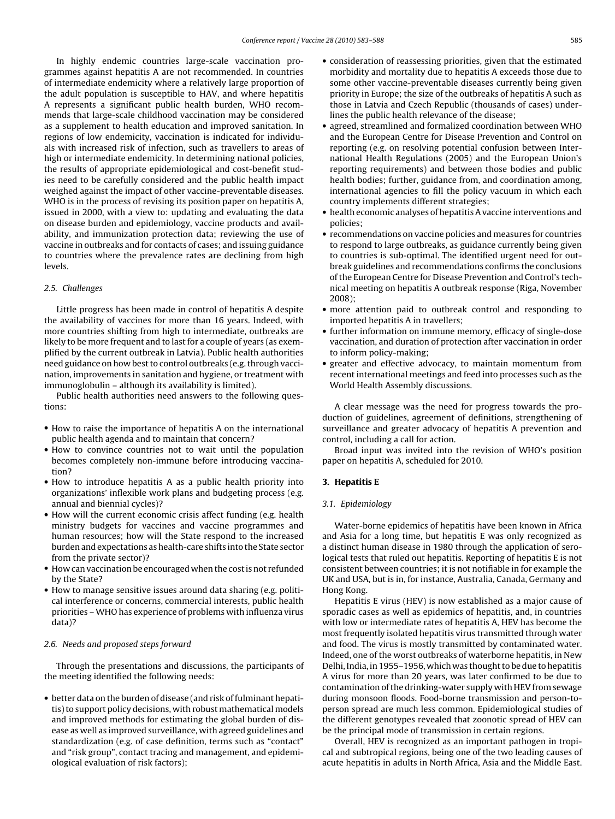In highly endemic countries large-scale vaccination programmes against hepatitis A are not recommended. In countries of intermediate endemicity where a relatively large proportion of the adult population is susceptible to HAV, and where hepatitis A represents a significant public health burden, WHO recommends that large-scale childhood vaccination may be considered as a supplement to health education and improved sanitation. In regions of low endemicity, vaccination is indicated for individuals with increased risk of infection, such as travellers to areas of high or intermediate endemicity. In determining national policies, the results of appropriate epidemiological and cost-benefit studies need to be carefully considered and the public health impact weighed against the impact of other vaccine-preventable diseases. WHO is in the process of revising its position paper on hepatitis A, issued in 2000, with a view to: updating and evaluating the data on disease burden and epidemiology, vaccine products and availability, and immunization protection data; reviewing the use of vaccine in outbreaks and for contacts of cases; and issuing guidance to countries where the prevalence rates are declining from high levels.

#### 2.5. Challenges

Little progress has been made in control of hepatitis A despite the availability of vaccines for more than 16 years. Indeed, with more countries shifting from high to intermediate, outbreaks are likely to be more frequent and to last for a couple of years (as exemplified by the current outbreak in Latvia). Public health authorities need guidance on how best to control outbreaks (e.g. through vaccination, improvements in sanitation and hygiene, or treatment with immunoglobulin – although its availability is limited).

Public health authorities need answers to the following questions:

- How to raise the importance of hepatitis A on the international public health agenda and to maintain that concern?
- How to convince countries not to wait until the population becomes completely non-immune before introducing vaccination?
- How to introduce hepatitis A as a public health priority into organizations' inflexible work plans and budgeting process (e.g. annual and biennial cycles)?
- How will the current economic crisis affect funding (e.g. health ministry budgets for vaccines and vaccine programmes and human resources; how will the State respond to the increased burden and expectations as health-care shifts into the State sector from the private sector)?
- How can vaccination be encouraged when the cost is not refunded by the State?
- How to manage sensitive issues around data sharing (e.g. political interference or concerns, commercial interests, public health priorities – WHO has experience of problems with influenza virus data)?

## 2.6. Needs and proposed steps forward

Through the presentations and discussions, the participants of the meeting identified the following needs:

• better data on the burden of disease (and risk of fulminant hepatitis) to support policy decisions, with robust mathematical models and improved methods for estimating the global burden of disease as well as improved surveillance, with agreed guidelines and standardization (e.g. of case definition, terms such as "contact" and "risk group", contact tracing and management, and epidemiological evaluation of risk factors);

- consideration of reassessing priorities, given that the estimated morbidity and mortality due to hepatitis A exceeds those due to some other vaccine-preventable diseases currently being given priority in Europe; the size of the outbreaks of hepatitis A such as those in Latvia and Czech Republic (thousands of cases) underlines the public health relevance of the disease;
- agreed, streamlined and formalized coordination between WHO and the European Centre for Disease Prevention and Control on reporting (e.g. on resolving potential confusion between International Health Regulations (2005) and the European Union's reporting requirements) and between those bodies and public health bodies; further, guidance from, and coordination among, international agencies to fill the policy vacuum in which each country implements different strategies;
- health economic analyses of hepatitis A vaccine interventions and policies;
- recommendations on vaccine policies and measures for countries to respond to large outbreaks, as guidance currently being given to countries is sub-optimal. The identified urgent need for outbreak guidelines and recommendations confirms the conclusions of the European Centre for Disease Prevention and Control's technical meeting on hepatitis A outbreak response (Riga, November 2008);
- more attention paid to outbreak control and responding to imported hepatitis A in travellers;
- further information on immune memory, efficacy of single-dose vaccination, and duration of protection after vaccination in order to inform policy-making;
- greater and effective advocacy, to maintain momentum from recent international meetings and feed into processes such as the World Health Assembly discussions.

A clear message was the need for progress towards the production of guidelines, agreement of definitions, strengthening of surveillance and greater advocacy of hepatitis A prevention and control, including a call for action.

Broad input was invited into the revision of WHO's position paper on hepatitis A, scheduled for 2010.

## **3. Hepatitis E**

#### 3.1. Epidemiology

Water-borne epidemics of hepatitis have been known in Africa and Asia for a long time, but hepatitis E was only recognized as a distinct human disease in 1980 through the application of serological tests that ruled out hepatitis. Reporting of hepatitis E is not consistent between countries; it is not notifiable in for example the UK and USA, but is in, for instance, Australia, Canada, Germany and Hong Kong.

Hepatitis E virus (HEV) is now established as a major cause of sporadic cases as well as epidemics of hepatitis, and, in countries with low or intermediate rates of hepatitis A, HEV has become the most frequently isolated hepatitis virus transmitted through water and food. The virus is mostly transmitted by contaminated water. Indeed, one of the worst outbreaks of waterborne hepatitis, in New Delhi, India, in 1955–1956, which was thought to be due to hepatitis A virus for more than 20 years, was later confirmed to be due to contamination of the drinking-water supply with HEV from sewage during monsoon floods. Food-borne transmission and person-toperson spread are much less common. Epidemiological studies of the different genotypes revealed that zoonotic spread of HEV can be the principal mode of transmission in certain regions.

Overall, HEV is recognized as an important pathogen in tropical and subtropical regions, being one of the two leading causes of acute hepatitis in adults in North Africa, Asia and the Middle East.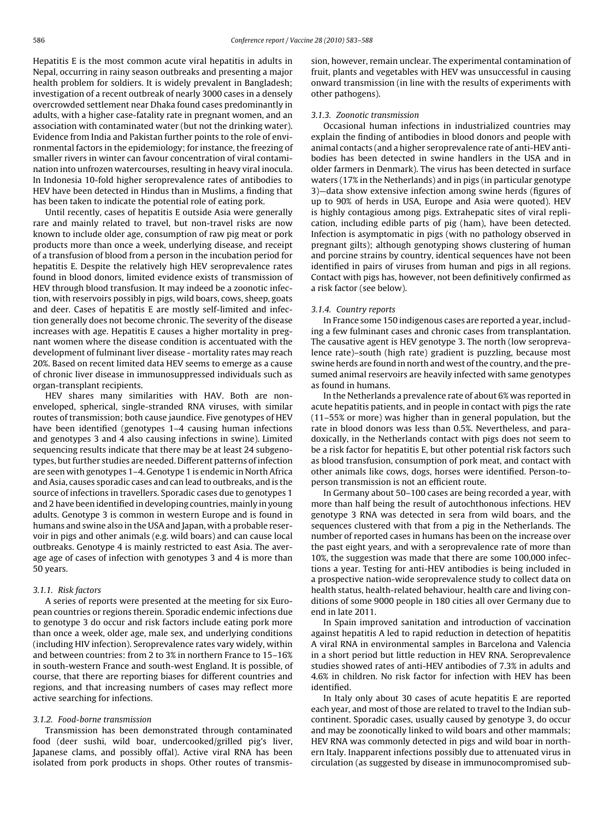Hepatitis E is the most common acute viral hepatitis in adults in Nepal, occurring in rainy season outbreaks and presenting a major health problem for soldiers. It is widely prevalent in Bangladesh; investigation of a recent outbreak of nearly 3000 cases in a densely overcrowded settlement near Dhaka found cases predominantly in adults, with a higher case-fatality rate in pregnant women, and an association with contaminated water (but not the drinking water). Evidence from India and Pakistan further points to the role of environmental factors in the epidemiology; for instance, the freezing of smaller rivers in winter can favour concentration of viral contamination into unfrozen watercourses, resulting in heavy viral inocula. In Indonesia 10-fold higher seroprevalence rates of antibodies to HEV have been detected in Hindus than in Muslims, a finding that has been taken to indicate the potential role of eating pork.

Until recently, cases of hepatitis E outside Asia were generally rare and mainly related to travel, but non-travel risks are now known to include older age, consumption of raw pig meat or pork products more than once a week, underlying disease, and receipt of a transfusion of blood from a person in the incubation period for hepatitis E. Despite the relatively high HEV seroprevalence rates found in blood donors, limited evidence exists of transmission of HEV through blood transfusion. It may indeed be a zoonotic infection, with reservoirs possibly in pigs, wild boars, cows, sheep, goats and deer. Cases of hepatitis E are mostly self-limited and infection generally does not become chronic. The severity of the disease increases with age. Hepatitis E causes a higher mortality in pregnant women where the disease condition is accentuated with the development of fulminant liver disease - mortality rates may reach 20%. Based on recent limited data HEV seems to emerge as a cause of chronic liver disease in immunosuppressed individuals such as organ-transplant recipients.

HEV shares many similarities with HAV. Both are nonenveloped, spherical, single-stranded RNA viruses, with similar routes of transmission; both cause jaundice. Five genotypes of HEV have been identified (genotypes 1–4 causing human infections and genotypes 3 and 4 also causing infections in swine). Limited sequencing results indicate that there may be at least 24 subgenotypes, but further studies are needed. Different patterns of infection are seen with genotypes 1–4. Genotype 1 is endemic in North Africa and Asia, causes sporadic cases and can lead to outbreaks, and is the source of infections in travellers. Sporadic cases due to genotypes 1 and 2 have been identified in developing countries, mainly in young adults. Genotype 3 is common in western Europe and is found in humans and swine also in the USA and Japan, with a probable reservoir in pigs and other animals (e.g. wild boars) and can cause local outbreaks. Genotype 4 is mainly restricted to east Asia. The average age of cases of infection with genotypes 3 and 4 is more than 50 years.

#### 3.1.1. Risk factors

A series of reports were presented at the meeting for six European countries or regions therein. Sporadic endemic infections due to genotype 3 do occur and risk factors include eating pork more than once a week, older age, male sex, and underlying conditions (including HIV infection). Seroprevalence rates vary widely, within and between countries: from 2 to 3% in northern France to 15–16% in south-western France and south-west England. It is possible, of course, that there are reporting biases for different countries and regions, and that increasing numbers of cases may reflect more active searching for infections.

## 3.1.2. Food-borne transmission

Transmission has been demonstrated through contaminated food (deer sushi, wild boar, undercooked/grilled pig's liver, Japanese clams, and possibly offal). Active viral RNA has been isolated from pork products in shops. Other routes of transmission, however, remain unclear. The experimental contamination of fruit, plants and vegetables with HEV was unsuccessful in causing onward transmission (in line with the results of experiments with other pathogens).

## 3.1.3. Zoonotic transmission

Occasional human infections in industrialized countries may explain the finding of antibodies in blood donors and people with animal contacts (and a higher seroprevalence rate of anti-HEV antibodies has been detected in swine handlers in the USA and in older farmers in Denmark). The virus has been detected in surface waters (17% in the Netherlands) and in pigs (in particular genotype 3)—data show extensive infection among swine herds (figures of up to 90% of herds in USA, Europe and Asia were quoted). HEV is highly contagious among pigs. Extrahepatic sites of viral replication, including edible parts of pig (ham), have been detected. Infection is asymptomatic in pigs (with no pathology observed in pregnant gilts); although genotyping shows clustering of human and porcine strains by country, identical sequences have not been identified in pairs of viruses from human and pigs in all regions. Contact with pigs has, however, not been definitively confirmed as a risk factor (see below).

#### 3.1.4. Country reports

In France some 150 indigenous cases are reported a year, including a few fulminant cases and chronic cases from transplantation. The causative agent is HEV genotype 3. The north (low seroprevalence rate)–south (high rate) gradient is puzzling, because most swine herds are found in north and west of the country, and the presumed animal reservoirs are heavily infected with same genotypes as found in humans.

In the Netherlands a prevalence rate of about 6% was reported in acute hepatitis patients, and in people in contact with pigs the rate (11–55% or more) was higher than in general population, but the rate in blood donors was less than 0.5%. Nevertheless, and paradoxically, in the Netherlands contact with pigs does not seem to be a risk factor for hepatitis E, but other potential risk factors such as blood transfusion, consumption of pork meat, and contact with other animals like cows, dogs, horses were identified. Person-toperson transmission is not an efficient route.

In Germany about 50–100 cases are being recorded a year, with more than half being the result of autochthonous infections. HEV genotype 3 RNA was detected in sera from wild boars, and the sequences clustered with that from a pig in the Netherlands. The number of reported cases in humans has been on the increase over the past eight years, and with a seroprevalence rate of more than 10%, the suggestion was made that there are some 100,000 infections a year. Testing for anti-HEV antibodies is being included in a prospective nation-wide seroprevalence study to collect data on health status, health-related behaviour, health care and living conditions of some 9000 people in 180 cities all over Germany due to end in late 2011.

In Spain improved sanitation and introduction of vaccination against hepatitis A led to rapid reduction in detection of hepatitis A viral RNA in environmental samples in Barcelona and Valencia in a short period but little reduction in HEV RNA. Seroprevalence studies showed rates of anti-HEV antibodies of 7.3% in adults and 4.6% in children. No risk factor for infection with HEV has been identified.

In Italy only about 30 cases of acute hepatitis E are reported each year, and most of those are related to travel to the Indian subcontinent. Sporadic cases, usually caused by genotype 3, do occur and may be zoonotically linked to wild boars and other mammals; HEV RNA was commonly detected in pigs and wild boar in northern Italy. Inapparent infections possibly due to attenuated virus in circulation (as suggested by disease in immunocompromised sub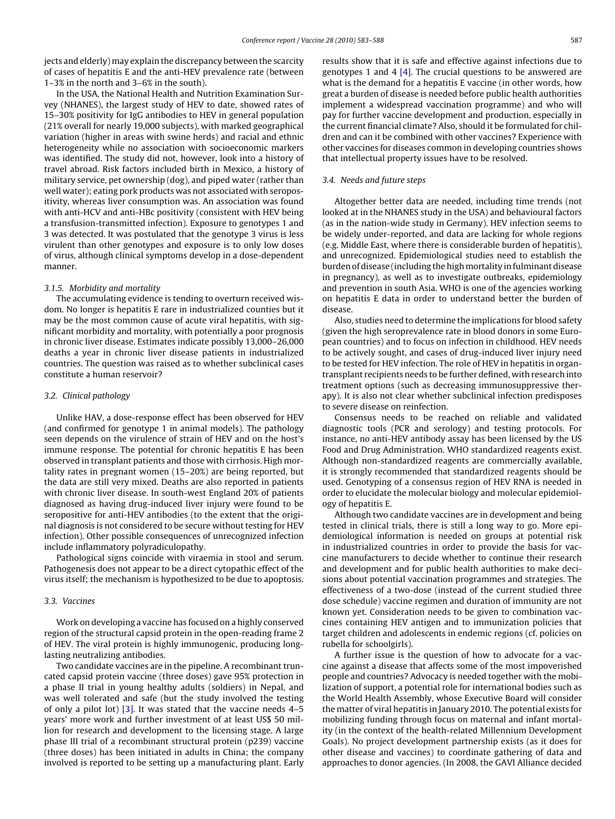jects and elderly) may explain the discrepancy between the scarcity of cases of hepatitis E and the anti-HEV prevalence rate (between 1–3% in the north and 3–6% in the south).

In the USA, the National Health and Nutrition Examination Survey (NHANES), the largest study of HEV to date, showed rates of 15–30% positivity for IgG antibodies to HEV in general population (21% overall for nearly 19,000 subjects), with marked geographical variation (higher in areas with swine herds) and racial and ethnic heterogeneity while no association with socioeconomic markers was identified. The study did not, however, look into a history of travel abroad. Risk factors included birth in Mexico, a history of military service, pet ownership (dog), and piped water (rather than well water); eating pork products was not associated with seropositivity, whereas liver consumption was. An association was found with anti-HCV and anti-HBc positivity (consistent with HEV being a transfusion-transmitted infection). Exposure to genotypes 1 and 3 was detected. It was postulated that the genotype 3 virus is less virulent than other genotypes and exposure is to only low doses of virus, although clinical symptoms develop in a dose-dependent manner.

#### 3.1.5. Morbidity and mortality

The accumulating evidence is tending to overturn received wisdom. No longer is hepatitis E rare in industrialized counties but it may be the most common cause of acute viral hepatitis, with significant morbidity and mortality, with potentially a poor prognosis in chronic liver disease. Estimates indicate possibly 13,000–26,000 deaths a year in chronic liver disease patients in industrialized countries. The question was raised as to whether subclinical cases constitute a human reservoir?

#### 3.2. Clinical pathology

Unlike HAV, a dose-response effect has been observed for HEV (and confirmed for genotype 1 in animal models). The pathology seen depends on the virulence of strain of HEV and on the host's immune response. The potential for chronic hepatitis E has been observed in transplant patients and those with cirrhosis. High mortality rates in pregnant women (15–20%) are being reported, but the data are still very mixed. Deaths are also reported in patients with chronic liver disease. In south-west England 20% of patients diagnosed as having drug-induced liver injury were found to be seropositive for anti-HEV antibodies (to the extent that the original diagnosis is not considered to be secure without testing for HEV infection). Other possible consequences of unrecognized infection include inflammatory polyradiculopathy.

Pathological signs coincide with viraemia in stool and serum. Pathogenesis does not appear to be a direct cytopathic effect of the virus itself; the mechanism is hypothesized to be due to apoptosis.

## 3.3. Vaccines

Work on developing a vaccine has focused on a highly conserved region of the structural capsid protein in the open-reading frame 2 of HEV. The viral protein is highly immunogenic, producing longlasting neutralizing antibodies.

Two candidate vaccines are in the pipeline. A recombinant truncated capsid protein vaccine (three doses) gave 95% protection in a phase II trial in young healthy adults (soldiers) in Nepal, and was well tolerated and safe (but the study involved the testing of only a pilot lot) [\[3\].](#page-5-0) It was stated that the vaccine needs 4–5 years' more work and further investment of at least US\$ 50 million for research and development to the licensing stage. A large phase III trial of a recombinant structural protein (p239) vaccine (three doses) has been initiated in adults in China; the company involved is reported to be setting up a manufacturing plant. Early results show that it is safe and effective against infections due to genotypes 1 and 4 [\[4\].](#page-5-0) The crucial questions to be answered are what is the demand for a hepatitis E vaccine (in other words, how great a burden of disease is needed before public health authorities implement a widespread vaccination programme) and who will pay for further vaccine development and production, especially in the current financial climate? Also, should it be formulated for children and can it be combined with other vaccines? Experience with other vaccines for diseases common in developing countries shows that intellectual property issues have to be resolved.

## 3.4. Needs and future steps

Altogether better data are needed, including time trends (not looked at in the NHANES study in the USA) and behavioural factors (as in the nation-wide study in Germany). HEV infection seems to be widely under-reported, and data are lacking for whole regions (e.g. Middle East, where there is considerable burden of hepatitis), and unrecognized. Epidemiological studies need to establish the burden of disease (including the highmortality in fulminant disease in pregnancy), as well as to investigate outbreaks, epidemiology and prevention in south Asia. WHO is one of the agencies working on hepatitis E data in order to understand better the burden of disease.

Also, studies need to determine the implications for blood safety (given the high seroprevalence rate in blood donors in some European countries) and to focus on infection in childhood. HEV needs to be actively sought, and cases of drug-induced liver injury need to be tested for HEV infection. The role of HEV in hepatitis in organtransplant recipients needs to be further defined, with research into treatment options (such as decreasing immunosuppressive therapy). It is also not clear whether subclinical infection predisposes to severe disease on reinfection.

Consensus needs to be reached on reliable and validated diagnostic tools (PCR and serology) and testing protocols. For instance, no anti-HEV antibody assay has been licensed by the US Food and Drug Administration. WHO standardized reagents exist. Although non-standardized reagents are commercially available, it is strongly recommended that standardized reagents should be used. Genotyping of a consensus region of HEV RNA is needed in order to elucidate the molecular biology and molecular epidemiology of hepatitis E.

Although two candidate vaccines are in development and being tested in clinical trials, there is still a long way to go. More epidemiological information is needed on groups at potential risk in industrialized countries in order to provide the basis for vaccine manufacturers to decide whether to continue their research and development and for public health authorities to make decisions about potential vaccination programmes and strategies. The effectiveness of a two-dose (instead of the current studied three dose schedule) vaccine regimen and duration of immunity are not known yet. Consideration needs to be given to combination vaccines containing HEV antigen and to immunization policies that target children and adolescents in endemic regions (cf. policies on rubella for schoolgirls).

A further issue is the question of how to advocate for a vaccine against a disease that affects some of the most impoverished people and countries? Advocacy is needed together with the mobilization of support, a potential role for international bodies such as the World Health Assembly, whose Executive Board will consider the matter of viral hepatitis in January 2010. The potential exists for mobilizing funding through focus on maternal and infant mortality (in the context of the health-related Millennium Development Goals). No project development partnership exists (as it does for other disease and vaccines) to coordinate gathering of data and approaches to donor agencies. (In 2008, the GAVI Alliance decided